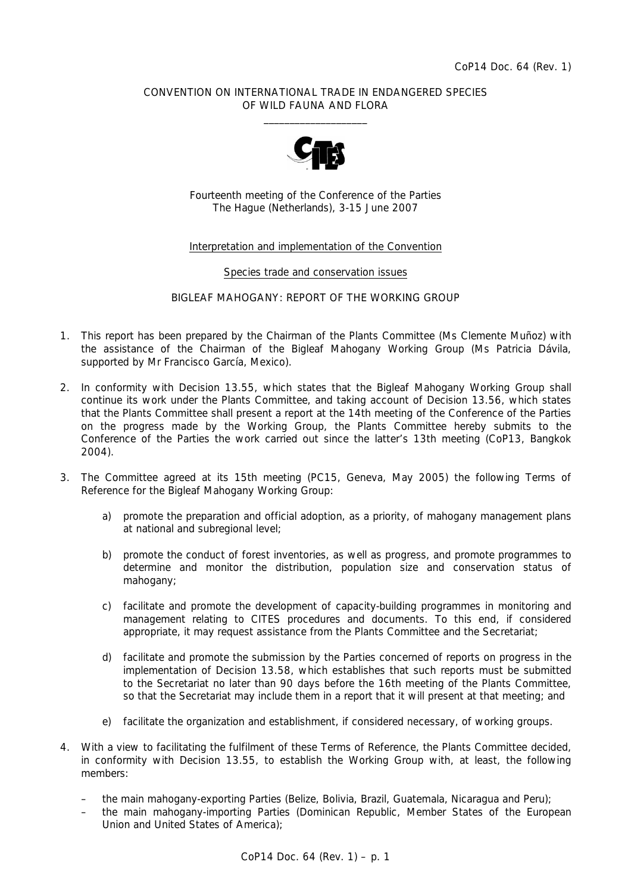### CONVENTION ON INTERNATIONAL TRADE IN ENDANGERED SPECIES OF WILD FAUNA AND FLORA  $\frac{1}{2}$  , and the set of the set of the set of the set of the set of the set of the set of the set of the set of the set of the set of the set of the set of the set of the set of the set of the set of the set of the set



Fourteenth meeting of the Conference of the Parties The Hague (Netherlands), 3-15 June 2007

# Interpretation and implementation of the Convention

### Species trade and conservation issues

### BIGLEAF MAHOGANY: REPORT OF THE WORKING GROUP

- 1. This report has been prepared by the Chairman of the Plants Committee (Ms Clemente Muñoz) with the assistance of the Chairman of the Bigleaf Mahogany Working Group (Ms Patricia Dávila, supported by Mr Francisco García, Mexico).
- 2. In conformity with Decision 13.55, which states that the Bigleaf Mahogany Working Group shall continue its work under the Plants Committee, and taking account of Decision 13.56, which states that the Plants Committee shall present a report at the 14th meeting of the Conference of the Parties on the progress made by the Working Group, the Plants Committee hereby submits to the Conference of the Parties the work carried out since the latter's 13th meeting (CoP13, Bangkok 2004).
- 3. The Committee agreed at its 15th meeting (PC15, Geneva, May 2005) the following Terms of Reference for the Bigleaf Mahogany Working Group:
	- *a) promote the preparation and official adoption, as a priority, of mahogany management plans at national and subregional level;*
	- *b) promote the conduct of forest inventories, as well as progress, and promote programmes to determine and monitor the distribution, population size and conservation status of mahogany;*
	- *c) facilitate and promote the development of capacity-building programmes in monitoring and management relating to CITES procedures and documents. To this end, if considered appropriate, it may request assistance from the Plants Committee and the Secretariat;*
	- *d) facilitate and promote the submission by the Parties concerned of reports on progress in the implementation of Decision 13.58, which establishes that such reports must be submitted to the Secretariat no later than 90 days before the 16th meeting of the Plants Committee, so that the Secretariat may include them in a report that it will present at that meeting; and*
	- *e) facilitate the organization and establishment, if considered necessary, of working groups.*
- 4. With a view to facilitating the fulfilment of these Terms of Reference, the Plants Committee decided, in conformity with Decision 13.55, to establish the Working Group with, at least, the following members:
	- the main mahogany-exporting Parties (Belize, Bolivia, Brazil, Guatemala, Nicaragua and Peru);
	- the main mahogany-importing Parties (Dominican Republic, Member States of the European Union and United States of America);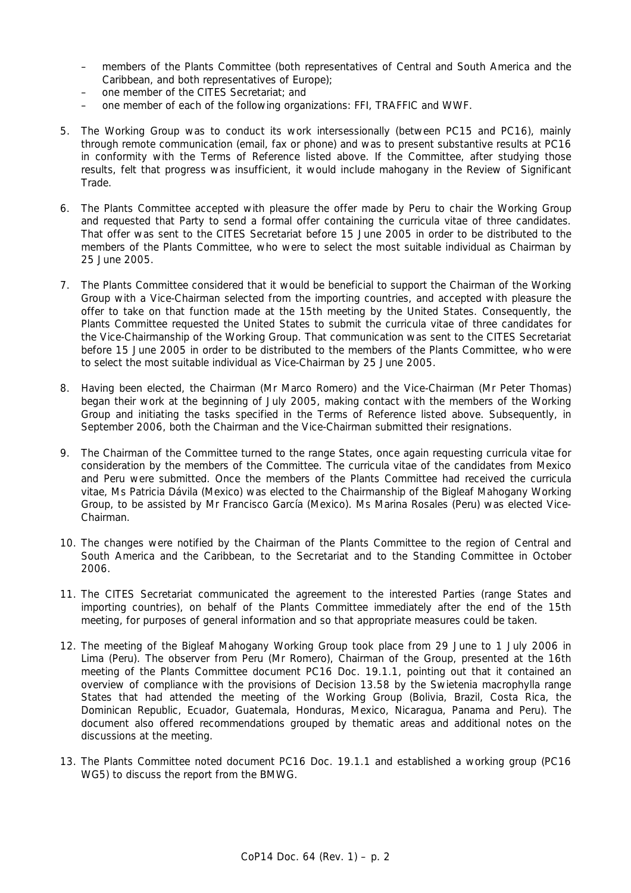- members of the Plants Committee (both representatives of Central and South America and the Caribbean, and both representatives of Europe);
- one member of the CITES Secretariat; and
- one member of each of the following organizations: FFI, TRAFFIC and WWF.
- 5. The Working Group was to conduct its work intersessionally (between PC15 and PC16), mainly through remote communication (email, fax or phone) and was to present substantive results at PC16 in conformity with the Terms of Reference listed above. If the Committee, after studying those results, felt that progress was insufficient, it would include mahogany in the Review of Significant Trade.
- 6. The Plants Committee accepted with pleasure the offer made by Peru to chair the Working Group and requested that Party to send a formal offer containing the *curricula vitae* of three candidates. That offer was sent to the CITES Secretariat before 15 June 2005 in order to be distributed to the members of the Plants Committee, who were to select the most suitable individual as Chairman by 25 June 2005.
- 7. The Plants Committee considered that it would be beneficial to support the Chairman of the Working Group with a Vice-Chairman selected from the importing countries, and accepted with pleasure the offer to take on that function made at the 15th meeting by the United States. Consequently, the Plants Committee requested the United States to submit the *curricula vitae* of three candidates for the Vice-Chairmanship of the Working Group. That communication was sent to the CITES Secretariat before 15 June 2005 in order to be distributed to the members of the Plants Committee, who were to select the most suitable individual as Vice-Chairman by 25 June 2005.
- 8. Having been elected, the Chairman (Mr Marco Romero) and the Vice-Chairman (Mr Peter Thomas) began their work at the beginning of July 2005, making contact with the members of the Working Group and initiating the tasks specified in the Terms of Reference listed above. Subsequently, in September 2006, both the Chairman and the Vice-Chairman submitted their resignations.
- 9. The Chairman of the Committee turned to the range States, once again requesting *curricula vitae* for consideration by the members of the Committee. The *curricula vitae* of the candidates from Mexico and Peru were submitted. Once the members of the Plants Committee had received the *curricula vitae*, Ms Patricia Dávila (Mexico) was elected to the Chairmanship of the Bigleaf Mahogany Working Group, to be assisted by Mr Francisco García (Mexico). Ms Marina Rosales (Peru) was elected Vice-Chairman.
- 10. The changes were notified by the Chairman of the Plants Committee to the region of Central and South America and the Caribbean, to the Secretariat and to the Standing Committee in October 2006.
- 11. The CITES Secretariat communicated the agreement to the interested Parties (range States and importing countries), on behalf of the Plants Committee immediately after the end of the 15th meeting, for purposes of general information and so that appropriate measures could be taken.
- 12. The meeting of the Bigleaf Mahogany Working Group took place from 29 June to 1 July 2006 in Lima (Peru). The observer from Peru (Mr Romero), Chairman of the Group, presented at the 16th meeting of the Plants Committee document PC16 Doc. 19.1.1, pointing out that it contained an overview of compliance with the provisions of Decision 13.58 by the *Swietenia macrophylla* range States that had attended the meeting of the Working Group (Bolivia, Brazil, Costa Rica, the Dominican Republic, Ecuador, Guatemala, Honduras, Mexico, Nicaragua, Panama and Peru). The document also offered recommendations grouped by thematic areas and additional notes on the discussions at the meeting.
- 13. The Plants Committee noted document PC16 Doc. 19.1.1 and established a working group (PC16 WG5) to discuss the report from the BMWG.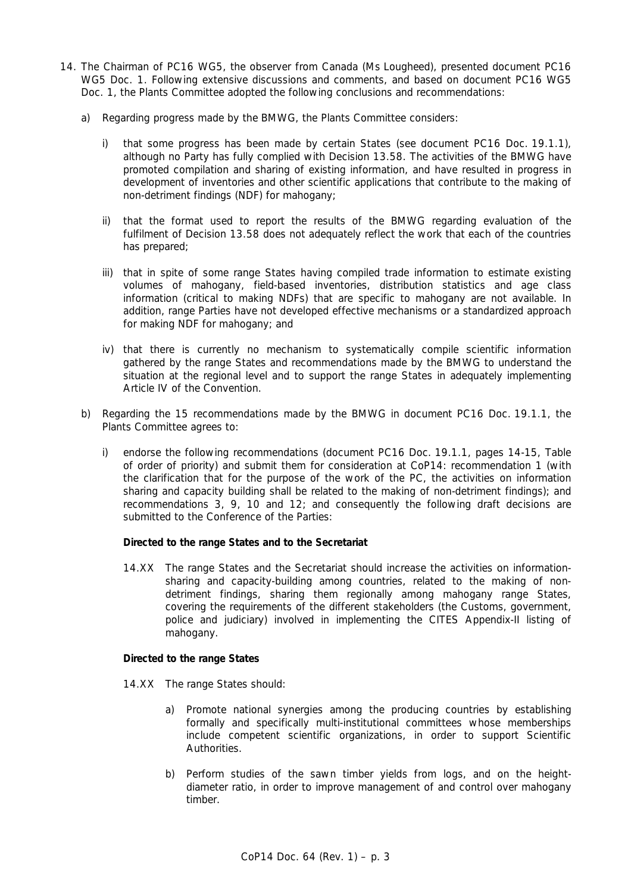- 14. The Chairman of PC16 WG5, the observer from Canada (Ms Lougheed), presented document PC16 WG5 Doc. 1. Following extensive discussions and comments, and based on document PC16 WG5 Doc. 1, the Plants Committee adopted the following conclusions and recommendations:
	- a) Regarding progress made by the BMWG, the Plants Committee considers:
		- i) that some progress has been made by certain States (see document PC16 Doc. 19.1.1), although no Party has fully complied with Decision 13.58. The activities of the BMWG have promoted compilation and sharing of existing information, and have resulted in progress in development of inventories and other scientific applications that contribute to the making of non-detriment findings (NDF) for mahogany;
		- ii) that the format used to report the results of the BMWG regarding evaluation of the fulfilment of Decision 13.58 does not adequately reflect the work that each of the countries has prepared;
		- iii) that in spite of some range States having compiled trade information to estimate existing volumes of mahogany, field-based inventories, distribution statistics and age class information (critical to making NDFs) that are specific to mahogany are not available. In addition, range Parties have not developed effective mechanisms or a standardized approach for making NDF for mahogany; and
		- iv) that there is currently no mechanism to systematically compile scientific information gathered by the range States and recommendations made by the BMWG to understand the situation at the regional level and to support the range States in adequately implementing Article IV of the Convention.
	- b) Regarding the 15 recommendations made by the BMWG in document PC16 Doc. 19.1.1, the Plants Committee agrees to:
		- i) endorse the following recommendations (document PC16 Doc. 19.1.1, pages 14-15, Table of order of priority) and submit them for consideration at CoP14: recommendation 1 (with the clarification that for the purpose of the work of the PC, the activities on information sharing and capacity building shall be related to the making of non-detriment findings); and recommendations 3, 9, 10 and 12; and consequently the following draft decisions are submitted to the Conference of the Parties:

# *Directed to the range States and to the Secretariat*

 14.XX The range States and the Secretariat should increase the activities on informationsharing and capacity-building among countries, related to the making of nondetriment findings, sharing them regionally among mahogany range States, covering the requirements of the different stakeholders (the Customs, government, police and judiciary) involved in implementing the CITES Appendix-II listing of mahogany.

# *Directed to the range States*

- 14.XX The range States should:
	- a) Promote national synergies among the producing countries by establishing formally and specifically multi-institutional committees whose memberships include competent scientific organizations, in order to support Scientific Authorities.
	- b) Perform studies of the sawn timber yields from logs, and on the heightdiameter ratio, in order to improve management of and control over mahogany timber.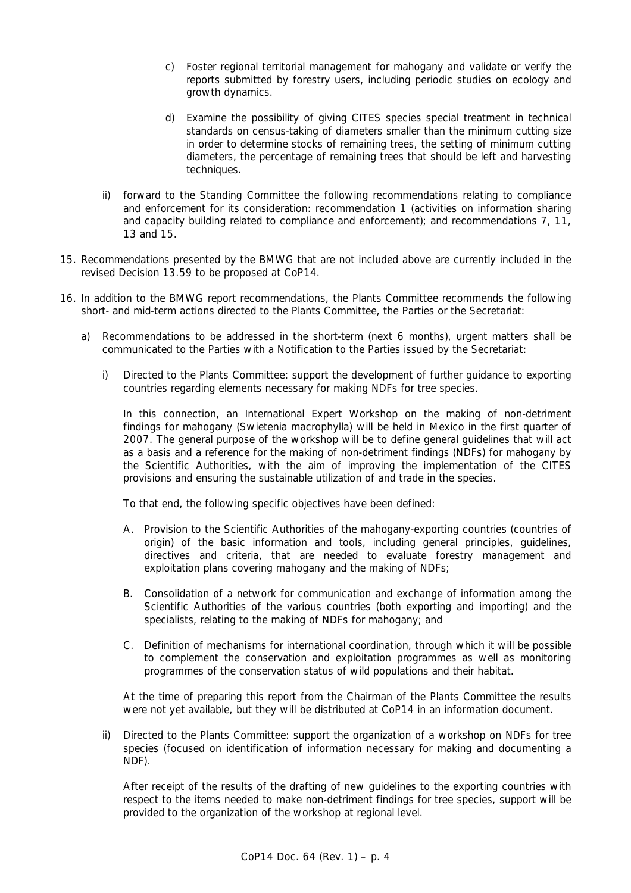- c) Foster regional territorial management for mahogany and validate or verify the reports submitted by forestry users, including periodic studies on ecology and growth dynamics.
- d) Examine the possibility of giving CITES species special treatment in technical standards on census-taking of diameters smaller than the minimum cutting size in order to determine stocks of remaining trees, the setting of minimum cutting diameters, the percentage of remaining trees that should be left and harvesting techniques.
- ii) forward to the Standing Committee the following recommendations relating to compliance and enforcement for its consideration: recommendation 1 (activities on information sharing and capacity building related to compliance and enforcement); and recommendations 7, 11, 13 and 15.
- 15. Recommendations presented by the BMWG that are not included above are currently included in the revised Decision 13.59 to be proposed at CoP14.
- 16. In addition to the BMWG report recommendations, the Plants Committee recommends the following short- and mid-term actions directed to the Plants Committee, the Parties or the Secretariat:
	- a) Recommendations to be addressed in the short-term (next 6 months), urgent matters shall be communicated to the Parties with a Notification to the Parties issued by the Secretariat:
		- i) Directed to the Plants Committee: support the development of further guidance to exporting countries regarding elements necessary for making NDFs for tree species.

 In this connection, an International Expert Workshop on the making of non-detriment findings for mahogany (*Swietenia macrophylla*) will be held in Mexico in the first quarter of 2007. The general purpose of the workshop will be to define general guidelines that will act as a basis and a reference for the making of non-detriment findings (NDFs) for mahogany by the Scientific Authorities, with the aim of improving the implementation of the CITES provisions and ensuring the sustainable utilization of and trade in the species.

To that end, the following specific objectives have been defined:

- A. Provision to the Scientific Authorities of the mahogany-exporting countries (countries of origin) of the basic information and tools, including general principles, guidelines, directives and criteria, that are needed to evaluate forestry management and exploitation plans covering mahogany and the making of NDFs;
- B. Consolidation of a network for communication and exchange of information among the Scientific Authorities of the various countries (both exporting and importing) and the specialists, relating to the making of NDFs for mahogany; and
- C. Definition of mechanisms for international coordination, through which it will be possible to complement the conservation and exploitation programmes as well as monitoring programmes of the conservation status of wild populations and their habitat.

 At the time of preparing this report from the Chairman of the Plants Committee the results were not yet available, but they will be distributed at CoP14 in an information document.

 ii) Directed to the Plants Committee: support the organization of a workshop on NDFs for tree species (focused on identification of information necessary for making and documenting a NDF).

 After receipt of the results of the drafting of new guidelines to the exporting countries with respect to the items needed to make non-detriment findings for tree species, support will be provided to the organization of the workshop at regional level.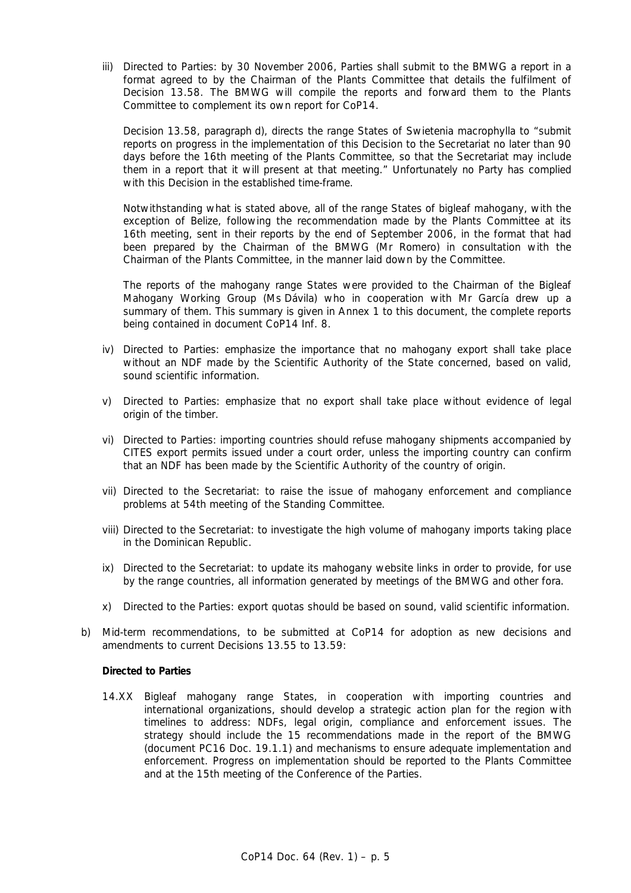iii) Directed to Parties: by 30 November 2006, Parties shall submit to the BMWG a report in a format agreed to by the Chairman of the Plants Committee that details the fulfilment of Decision 13.58. The BMWG will compile the reports and forward them to the Plants Committee to complement its own report for CoP14.

 Decision 13.58, paragraph d), directs the range States of *Swietenia macrophylla* to "submit reports on progress in the implementation of this Decision to the Secretariat no later than 90 days before the 16th meeting of the Plants Committee, so that the Secretariat may include them in a report that it will present at that meeting." Unfortunately no Party has complied with this Decision in the established time-frame.

 Notwithstanding what is stated above, all of the range States of bigleaf mahogany, with the exception of Belize, following the recommendation made by the Plants Committee at its 16th meeting, sent in their reports by the end of September 2006, in the format that had been prepared by the Chairman of the BMWG (Mr Romero) in consultation with the Chairman of the Plants Committee, in the manner laid down by the Committee.

 The reports of the mahogany range States were provided to the Chairman of the Bigleaf Mahogany Working Group (Ms Dávila) who in cooperation with Mr García drew up a summary of them. This summary is given in Annex 1 to this document, the complete reports being contained in document CoP14 Inf. 8.

- iv) Directed to Parties: emphasize the importance that no mahogany export shall take place without an NDF made by the Scientific Authority of the State concerned, based on valid, sound scientific information.
- v) Directed to Parties: emphasize that no export shall take place without evidence of legal origin of the timber.
- vi) Directed to Parties: importing countries should refuse mahogany shipments accompanied by CITES export permits issued under a court order, unless the importing country can confirm that an NDF has been made by the Scientific Authority of the country of origin.
- vii) Directed to the Secretariat: to raise the issue of mahogany enforcement and compliance problems at 54th meeting of the Standing Committee.
- viii) Directed to the Secretariat: to investigate the high volume of mahogany imports taking place in the Dominican Republic.
- ix) Directed to the Secretariat: to update its mahogany website links in order to provide, for use by the range countries, all information generated by meetings of the BMWG and other fora.
- x) Directed to the Parties: export quotas should be based on sound, valid scientific information.
- b) Mid-term recommendations, to be submitted at CoP14 for adoption as new decisions and amendments to current Decisions 13.55 to 13.59:

## *Directed to Parties*

 14.XX Bigleaf mahogany range States, in cooperation with importing countries and international organizations, should develop a strategic action plan for the region with timelines to address: NDFs, legal origin, compliance and enforcement issues. The strategy should include the 15 recommendations made in the report of the BMWG (document PC16 Doc. 19.1.1) and mechanisms to ensure adequate implementation and enforcement. Progress on implementation should be reported to the Plants Committee and at the 15th meeting of the Conference of the Parties.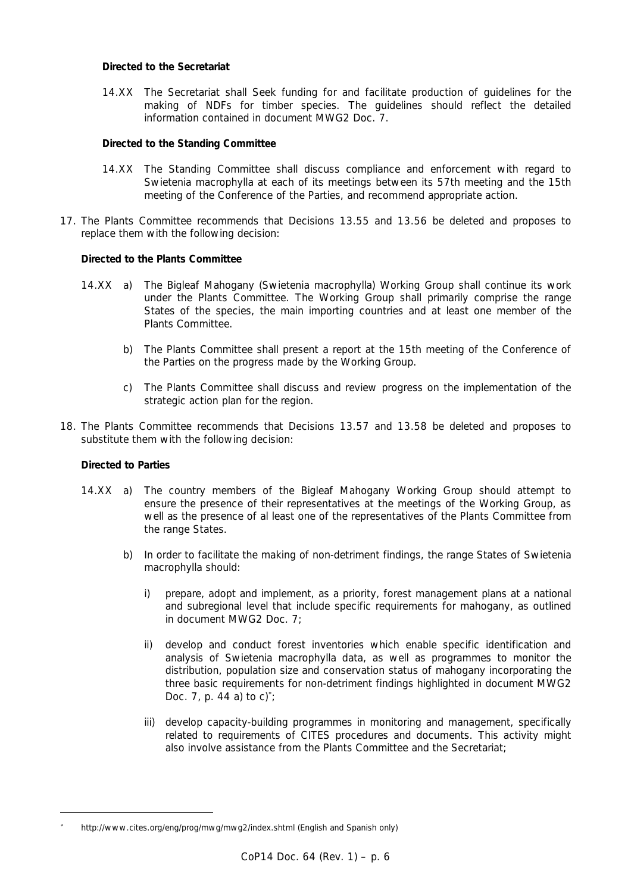# *Directed to the Secretariat*

 14.XX The Secretariat shall Seek funding for and facilitate production of guidelines for the making of NDFs for timber species. The guidelines should reflect the detailed information contained in document MWG2 Doc. 7.

## *Directed to the Standing Committee*

- 14.XX The Standing Committee shall discuss compliance and enforcement with regard to Swietenia macrophylla at each of its meetings between its 57th meeting and the 15th meeting of the Conference of the Parties, and recommend appropriate action.
- 17. The Plants Committee recommends that Decisions 13.55 and 13.56 be deleted and proposes to replace them with the following decision:

### *Directed to the Plants Committee*

- 14.XX a) The Bigleaf Mahogany (*Swietenia macrophylla*) Working Group shall continue its work under the Plants Committee. The Working Group shall primarily comprise the range States of the species, the main importing countries and at least one member of the Plants Committee.
	- b) The Plants Committee shall present a report at the 15th meeting of the Conference of the Parties on the progress made by the Working Group.
	- c) The Plants Committee shall discuss and review progress on the implementation of the strategic action plan for the region.
- 18. The Plants Committee recommends that Decisions 13.57 and 13.58 be deleted and proposes to substitute them with the following decision:

### *Directed to Parties*

 $\overline{a}$ 

- 14.XX a) The country members of the Bigleaf Mahogany Working Group should attempt to ensure the presence of their representatives at the meetings of the Working Group, as well as the presence of al least one of the representatives of the Plants Committee from the range States.
	- b) In order to facilitate the making of non-detriment findings, the range States of Swietenia macrophylla should:
		- i) prepare, adopt and implement, as a priority, forest management plans at a national and subregional level that include specific requirements for mahogany, as outlined in document MWG2 Doc. 7;
		- ii) develop and conduct forest inventories which enable specific identification and analysis of *Swietenia macrophylla* data, as well as programmes to monitor the distribution, population size and conservation status of mahogany incorporating the three basic requirements for non-detriment findings highlighted in document MWG2 Doc. 7, p. 44 a) to  $c$ <sup>\*</sup>;
		- iii) develop capacity-building programmes in monitoring and management, specifically related to requirements of CITES procedures and documents. This activity might also involve assistance from the Plants Committee and the Secretariat;

<sup>∗</sup> *http://www.cites.org/eng/prog/mwg/mwg2/index.shtml (English and Spanish only)*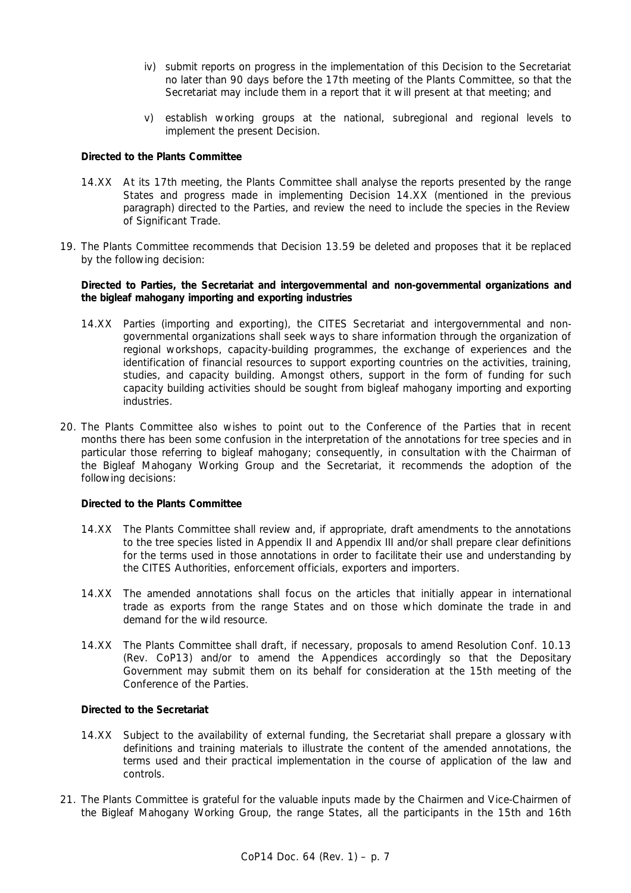- iv) submit reports on progress in the implementation of this Decision to the Secretariat no later than 90 days before the 17th meeting of the Plants Committee, so that the Secretariat may include them in a report that it will present at that meeting; and
- v) establish working groups at the national, subregional and regional levels to implement the present Decision.

### *Directed to the Plants Committee*

- 14.XX At its 17th meeting, the Plants Committee shall analyse the reports presented by the range States and progress made in implementing Decision 14.XX (mentioned in the previous paragraph) directed to the Parties, and review the need to include the species in the Review of Significant Trade.
- 19. The Plants Committee recommends that Decision 13.59 be deleted and proposes that it be replaced by the following decision:

# *Directed to Parties, the Secretariat and intergovernmental and non-governmental organizations and the bigleaf mahogany importing and exporting industries*

- 14.XX Parties (importing and exporting), the CITES Secretariat and intergovernmental and nongovernmental organizations shall seek ways to share information through the organization of regional workshops, capacity-building programmes, the exchange of experiences and the identification of financial resources to support exporting countries on the activities, training, studies, and capacity building. Amongst others, support in the form of funding for such capacity building activities should be sought from bigleaf mahogany importing and exporting industries.
- 20. The Plants Committee also wishes to point out to the Conference of the Parties that in recent months there has been some confusion in the interpretation of the annotations for tree species and in particular those referring to bigleaf mahogany; consequently, in consultation with the Chairman of the Bigleaf Mahogany Working Group and the Secretariat, it recommends the adoption of the following decisions:

### *Directed to the Plants Committee*

- 14.XX The Plants Committee shall review and, if appropriate, draft amendments to the annotations to the tree species listed in Appendix II and Appendix III and/or shall prepare clear definitions for the terms used in those annotations in order to facilitate their use and understanding by the CITES Authorities, enforcement officials, exporters and importers.
- 14.XX The amended annotations shall focus on the articles that initially appear in international trade as exports from the range States and on those which dominate the trade in and demand for the wild resource.
- 14.XX The Plants Committee shall draft, if necessary, proposals to amend Resolution Conf. 10.13 (Rev. CoP13) and/or to amend the Appendices accordingly so that the Depositary Government may submit them on its behalf for consideration at the 15th meeting of the Conference of the Parties.

# *Directed to the Secretariat*

- 14.XX Subject to the availability of external funding, the Secretariat shall prepare a glossary with definitions and training materials to illustrate the content of the amended annotations, the terms used and their practical implementation in the course of application of the law and controls.
- 21. The Plants Committee is grateful for the valuable inputs made by the Chairmen and Vice-Chairmen of the Bigleaf Mahogany Working Group, the range States, all the participants in the 15th and 16th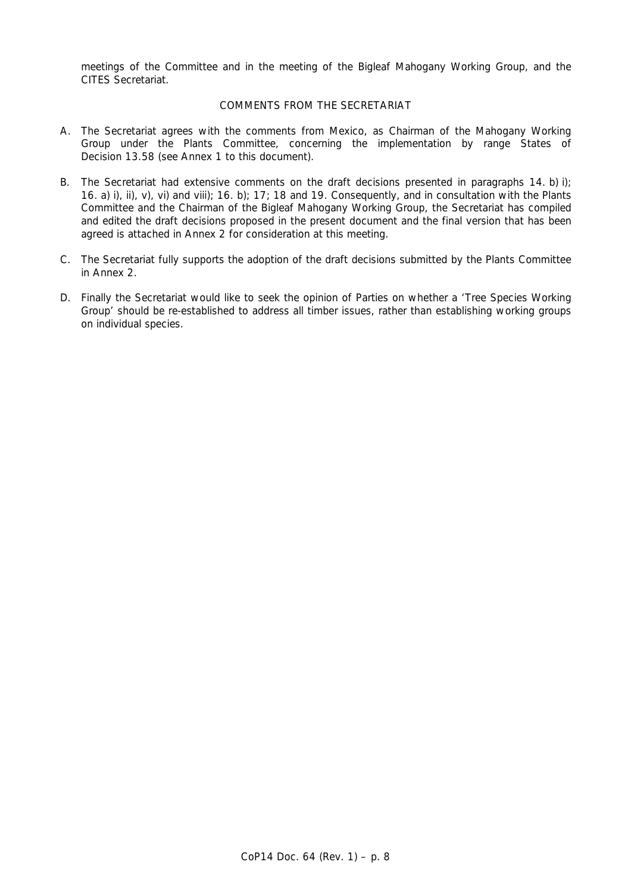meetings of the Committee and in the meeting of the Bigleaf Mahogany Working Group, and the CITES Secretariat.

# COMMENTS FROM THE SECRETARIAT

- A. The Secretariat agrees with the comments from Mexico, as Chairman of the Mahogany Working Group under the Plants Committee, concerning the implementation by range States of Decision 13.58 (see Annex 1 to this document).
- B. The Secretariat had extensive comments on the draft decisions presented in paragraphs 14. b) i); 16. a) i), ii), v), vi) and viii); 16. b); 17; 18 and 19. Consequently, and in consultation with the Plants Committee and the Chairman of the Bigleaf Mahogany Working Group, the Secretariat has compiled and edited the draft decisions proposed in the present document and the final version that has been agreed is attached in Annex 2 for consideration at this meeting.
- C. The Secretariat fully supports the adoption of the draft decisions submitted by the Plants Committee in Annex 2.
- D. Finally the Secretariat would like to seek the opinion of Parties on whether a 'Tree Species Working Group' should be re-established to address all timber issues, rather than establishing working groups on individual species.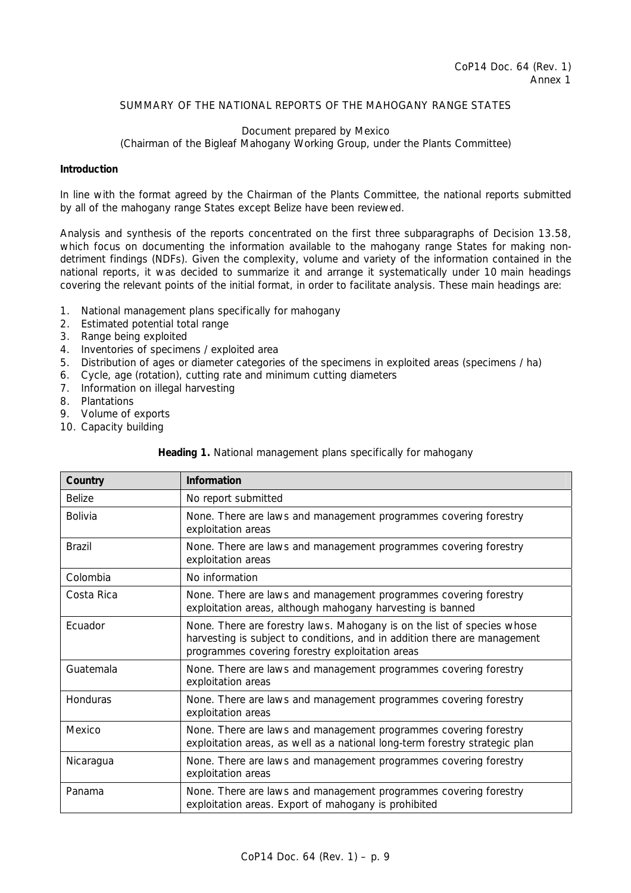# SUMMARY OF THE NATIONAL REPORTS OF THE MAHOGANY RANGE STATES

# Document prepared by Mexico (Chairman of the Bigleaf Mahogany Working Group, under the Plants Committee)

### **Introduction**

In line with the format agreed by the Chairman of the Plants Committee, the national reports submitted by all of the mahogany range States except Belize have been reviewed.

Analysis and synthesis of the reports concentrated on the first three subparagraphs of Decision 13.58, which focus on documenting the information available to the mahogany range States for making nondetriment findings (NDFs). Given the complexity, volume and variety of the information contained in the national reports, it was decided to summarize it and arrange it systematically under 10 main headings covering the relevant points of the initial format, in order to facilitate analysis. These main headings are:

- 1. National management plans specifically for mahogany
- 2. Estimated potential total range
- 3. Range being exploited
- 4. Inventories of specimens / exploited area
- 5. Distribution of ages or diameter categories of the specimens in exploited areas (specimens / ha)
- 6. Cycle, age (rotation), cutting rate and minimum cutting diameters
- 7. Information on illegal harvesting
- 8. Plantations
- 9. Volume of exports
- 10. Capacity building

| Heading 1. National management plans specifically for mahogany |  |
|----------------------------------------------------------------|--|
|                                                                |  |

| Country        | Information                                                                                                                                                                                             |
|----------------|---------------------------------------------------------------------------------------------------------------------------------------------------------------------------------------------------------|
| <b>Belize</b>  | No report submitted                                                                                                                                                                                     |
| <b>Bolivia</b> | None. There are laws and management programmes covering forestry<br>exploitation areas                                                                                                                  |
| <b>Brazil</b>  | None. There are laws and management programmes covering forestry<br>exploitation areas                                                                                                                  |
| Colombia       | No information                                                                                                                                                                                          |
| Costa Rica     | None. There are laws and management programmes covering forestry<br>exploitation areas, although mahogany harvesting is banned                                                                          |
| Ecuador        | None. There are forestry laws. Mahogany is on the list of species whose<br>harvesting is subject to conditions, and in addition there are management<br>programmes covering forestry exploitation areas |
| Guatemala      | None. There are laws and management programmes covering forestry<br>exploitation areas                                                                                                                  |
| Honduras       | None. There are laws and management programmes covering forestry<br>exploitation areas                                                                                                                  |
| Mexico         | None. There are laws and management programmes covering forestry<br>exploitation areas, as well as a national long-term forestry strategic plan                                                         |
| Nicaragua      | None. There are laws and management programmes covering forestry<br>exploitation areas                                                                                                                  |
| Panama         | None. There are laws and management programmes covering forestry<br>exploitation areas. Export of mahogany is prohibited                                                                                |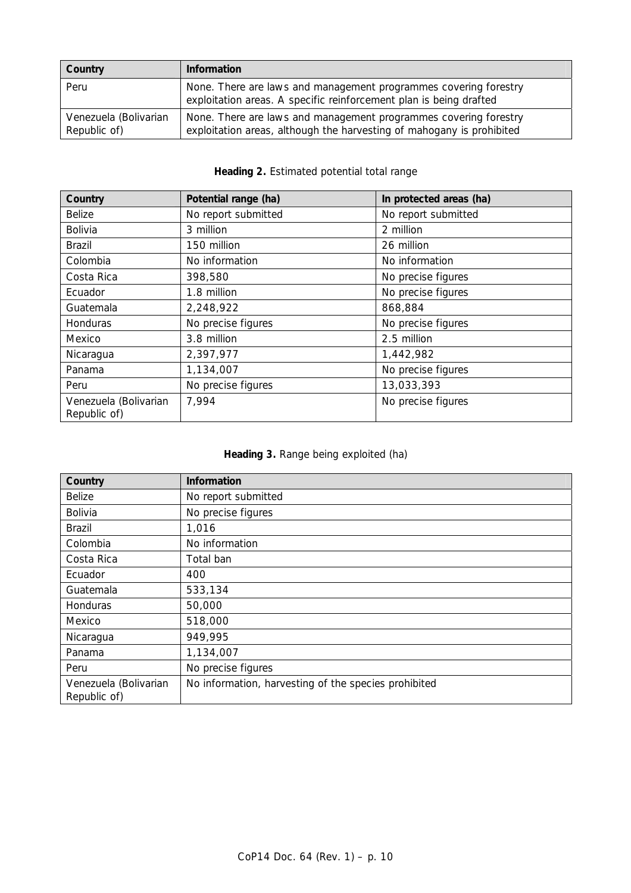| Country                               | <b>Information</b>                                                                                                                        |
|---------------------------------------|-------------------------------------------------------------------------------------------------------------------------------------------|
| Peru                                  | None. There are laws and management programmes covering forestry<br>exploitation areas. A specific reinforcement plan is being drafted    |
| Venezuela (Bolivarian<br>Republic of) | None. There are laws and management programmes covering forestry<br>exploitation areas, although the harvesting of mahogany is prohibited |

# **Heading 2.** Estimated potential total range

| Country                               | Potential range (ha) | In protected areas (ha) |
|---------------------------------------|----------------------|-------------------------|
| <b>Belize</b>                         | No report submitted  | No report submitted     |
| Bolivia                               | 3 million            | 2 million               |
| Brazil                                | 150 million          | 26 million              |
| Colombia                              | No information       | No information          |
| Costa Rica                            | 398,580              | No precise figures      |
| Ecuador                               | 1.8 million          | No precise figures      |
| Guatemala                             | 2,248,922            | 868,884                 |
| Honduras                              | No precise figures   | No precise figures      |
| Mexico                                | 3.8 million          | 2.5 million             |
| Nicaragua                             | 2,397,977            | 1,442,982               |
| Panama                                | 1,134,007            | No precise figures      |
| Peru                                  | No precise figures   | 13,033,393              |
| Venezuela (Bolivarian<br>Republic of) | 7,994                | No precise figures      |

| Heading 3. Range being exploited (ha) |  |  |  |  |
|---------------------------------------|--|--|--|--|
|---------------------------------------|--|--|--|--|

| Country                               | <b>Information</b>                                   |
|---------------------------------------|------------------------------------------------------|
| <b>Belize</b>                         | No report submitted                                  |
| Bolivia                               | No precise figures                                   |
| <b>Brazil</b>                         | 1,016                                                |
| Colombia                              | No information                                       |
| Costa Rica                            | Total ban                                            |
| Ecuador                               | 400                                                  |
| Guatemala                             | 533,134                                              |
| <b>Honduras</b>                       | 50,000                                               |
| Mexico                                | 518,000                                              |
| Nicaragua                             | 949,995                                              |
| Panama                                | 1,134,007                                            |
| Peru                                  | No precise figures                                   |
| Venezuela (Bolivarian<br>Republic of) | No information, harvesting of the species prohibited |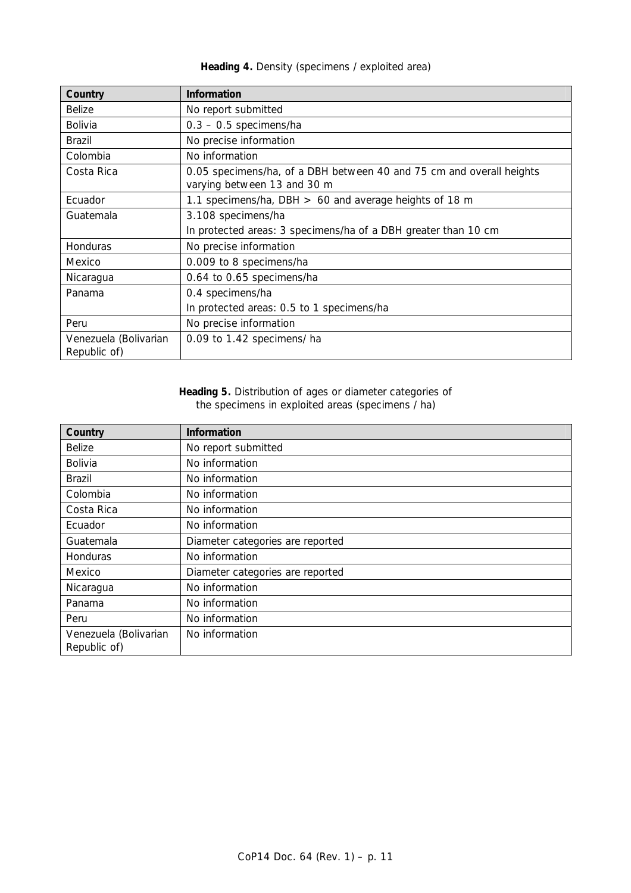| Country                               | <b>Information</b>                                                                                  |
|---------------------------------------|-----------------------------------------------------------------------------------------------------|
| <b>Belize</b>                         | No report submitted                                                                                 |
| Bolivia                               | $0.3 - 0.5$ specimens/ha                                                                            |
| <b>Brazil</b>                         | No precise information                                                                              |
| Colombia                              | No information                                                                                      |
| Costa Rica                            | 0.05 specimens/ha, of a DBH between 40 and 75 cm and overall heights<br>varying between 13 and 30 m |
| Ecuador                               | 1.1 specimens/ha, DBH $> 60$ and average heights of 18 m                                            |
| Guatemala                             | 3.108 specimens/ha                                                                                  |
|                                       | In protected areas: 3 specimens/ha of a DBH greater than 10 cm                                      |
| <b>Honduras</b>                       | No precise information                                                                              |
| Mexico                                | 0.009 to 8 specimens/ha                                                                             |
| Nicaragua                             | 0.64 to 0.65 specimens/ha                                                                           |
| Panama                                | 0.4 specimens/ha                                                                                    |
|                                       | In protected areas: 0.5 to 1 specimens/ha                                                           |
| Peru                                  | No precise information                                                                              |
| Venezuela (Bolivarian<br>Republic of) | 0.09 to 1.42 specimens/ ha                                                                          |

# **Heading 4.** Density (specimens / exploited area)

## **Heading 5.** Distribution of ages or diameter categories of the specimens in exploited areas (specimens / ha)

| Country                               | <b>Information</b>               |
|---------------------------------------|----------------------------------|
| <b>Belize</b>                         | No report submitted              |
| <b>Bolivia</b>                        | No information                   |
| Brazil                                | No information                   |
| Colombia                              | No information                   |
| Costa Rica                            | No information                   |
| Ecuador                               | No information                   |
| Guatemala                             | Diameter categories are reported |
| Honduras                              | No information                   |
| Mexico                                | Diameter categories are reported |
| Nicaragua                             | No information                   |
| Panama                                | No information                   |
| Peru                                  | No information                   |
| Venezuela (Bolivarian<br>Republic of) | No information                   |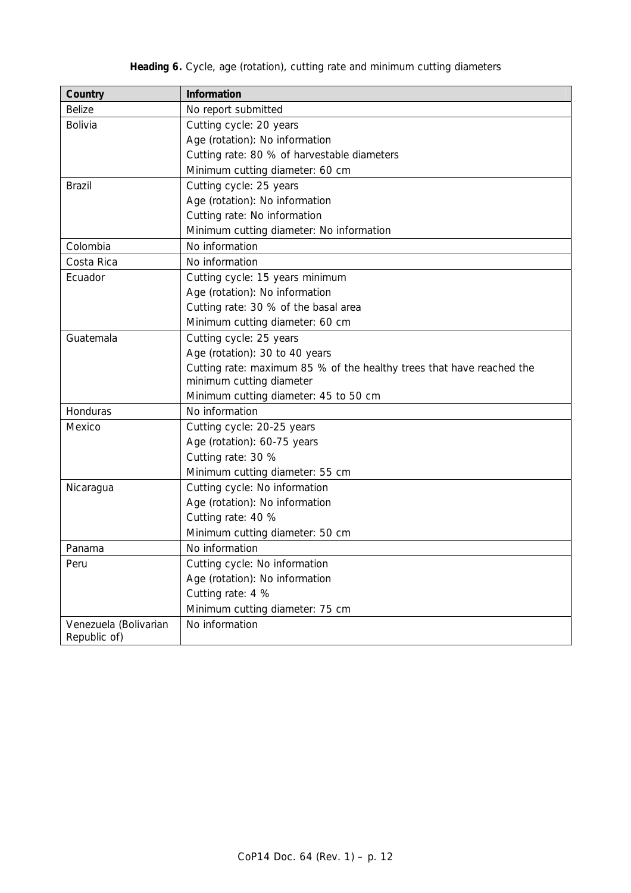# **Heading 6.** Cycle, age (rotation), cutting rate and minimum cutting diameters

| Country                               | <b>Information</b>                                                                                |  |
|---------------------------------------|---------------------------------------------------------------------------------------------------|--|
| <b>Belize</b>                         | No report submitted                                                                               |  |
| Bolivia                               | Cutting cycle: 20 years                                                                           |  |
|                                       | Age (rotation): No information                                                                    |  |
|                                       | Cutting rate: 80 % of harvestable diameters                                                       |  |
|                                       | Minimum cutting diameter: 60 cm                                                                   |  |
| <b>Brazil</b>                         | Cutting cycle: 25 years                                                                           |  |
|                                       | Age (rotation): No information                                                                    |  |
|                                       | Cutting rate: No information                                                                      |  |
|                                       | Minimum cutting diameter: No information                                                          |  |
| Colombia                              | No information                                                                                    |  |
| Costa Rica                            | No information                                                                                    |  |
| Ecuador                               | Cutting cycle: 15 years minimum                                                                   |  |
|                                       | Age (rotation): No information                                                                    |  |
|                                       | Cutting rate: 30 % of the basal area                                                              |  |
|                                       | Minimum cutting diameter: 60 cm                                                                   |  |
| Guatemala                             | Cutting cycle: 25 years                                                                           |  |
|                                       | Age (rotation): 30 to 40 years                                                                    |  |
|                                       | Cutting rate: maximum 85 % of the healthy trees that have reached the<br>minimum cutting diameter |  |
|                                       | Minimum cutting diameter: 45 to 50 cm                                                             |  |
| Honduras                              | No information                                                                                    |  |
| Mexico                                | Cutting cycle: 20-25 years                                                                        |  |
|                                       | Age (rotation): 60-75 years                                                                       |  |
|                                       | Cutting rate: 30 %                                                                                |  |
|                                       | Minimum cutting diameter: 55 cm                                                                   |  |
| Nicaragua                             | Cutting cycle: No information                                                                     |  |
|                                       | Age (rotation): No information                                                                    |  |
|                                       | Cutting rate: 40 %                                                                                |  |
|                                       | Minimum cutting diameter: 50 cm                                                                   |  |
| Panama                                | No information                                                                                    |  |
| Peru                                  | Cutting cycle: No information                                                                     |  |
|                                       | Age (rotation): No information                                                                    |  |
|                                       | Cutting rate: 4 %                                                                                 |  |
|                                       | Minimum cutting diameter: 75 cm                                                                   |  |
| Venezuela (Bolivarian<br>Republic of) | No information                                                                                    |  |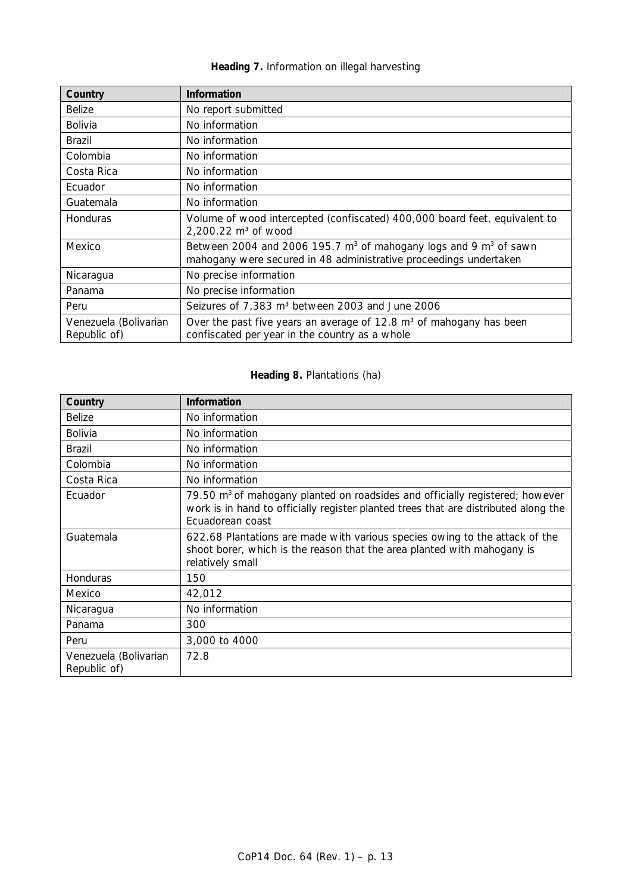# **Heading 7.** Information on illegal harvesting

| Country               | <b>Information</b>                                                                                                                          |
|-----------------------|---------------------------------------------------------------------------------------------------------------------------------------------|
| <b>Belize</b>         | No report submitted                                                                                                                         |
| <b>Bolivia</b>        | No information                                                                                                                              |
| <b>Brazil</b>         | No information                                                                                                                              |
| Colombia              | No information                                                                                                                              |
| Costa Rica            | No information                                                                                                                              |
| Ecuador               | No information                                                                                                                              |
| Guatemala             | No information                                                                                                                              |
| <b>Honduras</b>       | Volume of wood intercepted (confiscated) 400,000 board feet, equivalent to<br>2,200.22 $m3$ of wood                                         |
| Mexico                | Between 2004 and 2006 195.7 $m^3$ of mahogany logs and 9 $m^3$ of sawn<br>mahogany were secured in 48 administrative proceedings undertaken |
| Nicaragua             | No precise information                                                                                                                      |
| Panama                | No precise information                                                                                                                      |
| Peru                  | Seizures of 7,383 m <sup>3</sup> between 2003 and June 2006                                                                                 |
| Venezuela (Bolivarian | Over the past five years an average of 12.8 m <sup>3</sup> of mahogany has been                                                             |
| Republic of)          | confiscated per year in the country as a whole                                                                                              |

# **Heading 8.** Plantations (ha)

| Country                               | <b>Information</b>                                                                                                                                                                                  |
|---------------------------------------|-----------------------------------------------------------------------------------------------------------------------------------------------------------------------------------------------------|
| <b>Belize</b>                         | No information                                                                                                                                                                                      |
| <b>Bolivia</b>                        | No information                                                                                                                                                                                      |
| <b>Brazil</b>                         | No information                                                                                                                                                                                      |
| Colombia                              | No information                                                                                                                                                                                      |
| Costa Rica                            | No information                                                                                                                                                                                      |
| Ecuador                               | 79.50 m <sup>3</sup> of mahogany planted on roadsides and officially registered; however<br>work is in hand to officially register planted trees that are distributed along the<br>Ecuadorean coast |
| Guatemala                             | 622.68 Plantations are made with various species owing to the attack of the<br>shoot borer, which is the reason that the area planted with mahogany is<br>relatively small                          |
| <b>Honduras</b>                       | 150                                                                                                                                                                                                 |
| Mexico                                | 42,012                                                                                                                                                                                              |
| Nicaragua                             | No information                                                                                                                                                                                      |
| Panama                                | 300                                                                                                                                                                                                 |
| Peru                                  | 3,000 to 4000                                                                                                                                                                                       |
| Venezuela (Bolivarian<br>Republic of) | 72.8                                                                                                                                                                                                |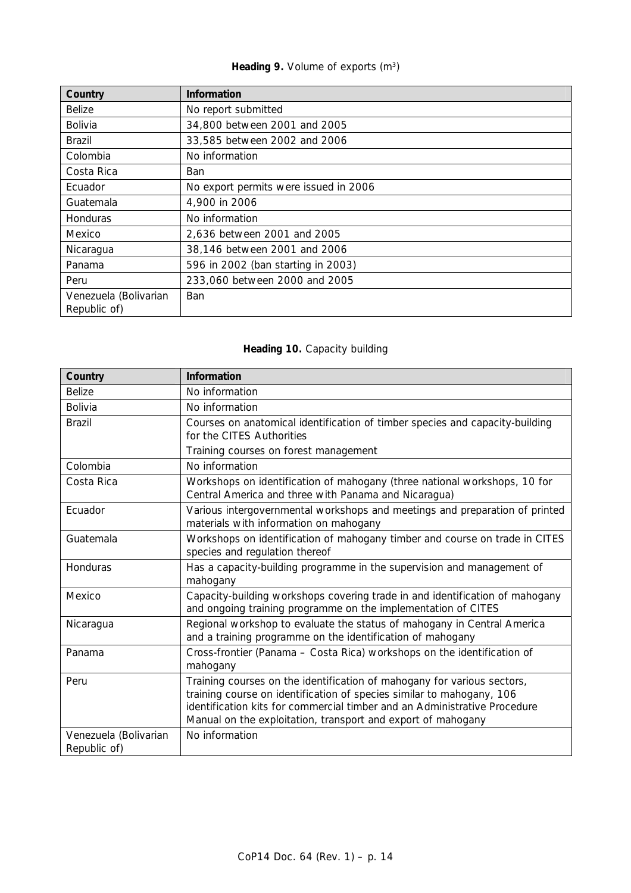# Heading 9. Volume of exports (m<sup>3</sup>)

| Country                               | <b>Information</b>                    |
|---------------------------------------|---------------------------------------|
| <b>Belize</b>                         | No report submitted                   |
| Bolivia                               | 34,800 between 2001 and 2005          |
| Brazil                                | 33,585 between 2002 and 2006          |
| Colombia                              | No information                        |
| Costa Rica                            | <b>Ban</b>                            |
| Ecuador                               | No export permits were issued in 2006 |
| Guatemala                             | 4,900 in 2006                         |
| Honduras                              | No information                        |
| Mexico                                | 2,636 between 2001 and 2005           |
| Nicaragua                             | 38,146 between 2001 and 2006          |
| Panama                                | 596 in 2002 (ban starting in 2003)    |
| Peru                                  | 233,060 between 2000 and 2005         |
| Venezuela (Bolivarian<br>Republic of) | <b>Ban</b>                            |

# **Heading 10.** Capacity building

| Country                               | Information                                                                                                                                                                                                                                                                                   |
|---------------------------------------|-----------------------------------------------------------------------------------------------------------------------------------------------------------------------------------------------------------------------------------------------------------------------------------------------|
| <b>Belize</b>                         | No information                                                                                                                                                                                                                                                                                |
| Bolivia                               | No information                                                                                                                                                                                                                                                                                |
| <b>Brazil</b>                         | Courses on anatomical identification of timber species and capacity-building<br>for the CITES Authorities                                                                                                                                                                                     |
|                                       | Training courses on forest management                                                                                                                                                                                                                                                         |
| Colombia                              | No information                                                                                                                                                                                                                                                                                |
| Costa Rica                            | Workshops on identification of mahogany (three national workshops, 10 for<br>Central America and three with Panama and Nicaragua)                                                                                                                                                             |
| Ecuador                               | Various intergovernmental workshops and meetings and preparation of printed<br>materials with information on mahogany                                                                                                                                                                         |
| Guatemala                             | Workshops on identification of mahogany timber and course on trade in CITES<br>species and regulation thereof                                                                                                                                                                                 |
| Honduras                              | Has a capacity-building programme in the supervision and management of<br>mahogany                                                                                                                                                                                                            |
| Mexico                                | Capacity-building workshops covering trade in and identification of mahogany<br>and ongoing training programme on the implementation of CITES                                                                                                                                                 |
| Nicaragua                             | Regional workshop to evaluate the status of mahogany in Central America<br>and a training programme on the identification of mahogany                                                                                                                                                         |
| Panama                                | Cross-frontier (Panama - Costa Rica) workshops on the identification of<br>mahogany                                                                                                                                                                                                           |
| Peru                                  | Training courses on the identification of mahogany for various sectors,<br>training course on identification of species similar to mahogany, 106<br>identification kits for commercial timber and an Administrative Procedure<br>Manual on the exploitation, transport and export of mahogany |
| Venezuela (Bolivarian<br>Republic of) | No information                                                                                                                                                                                                                                                                                |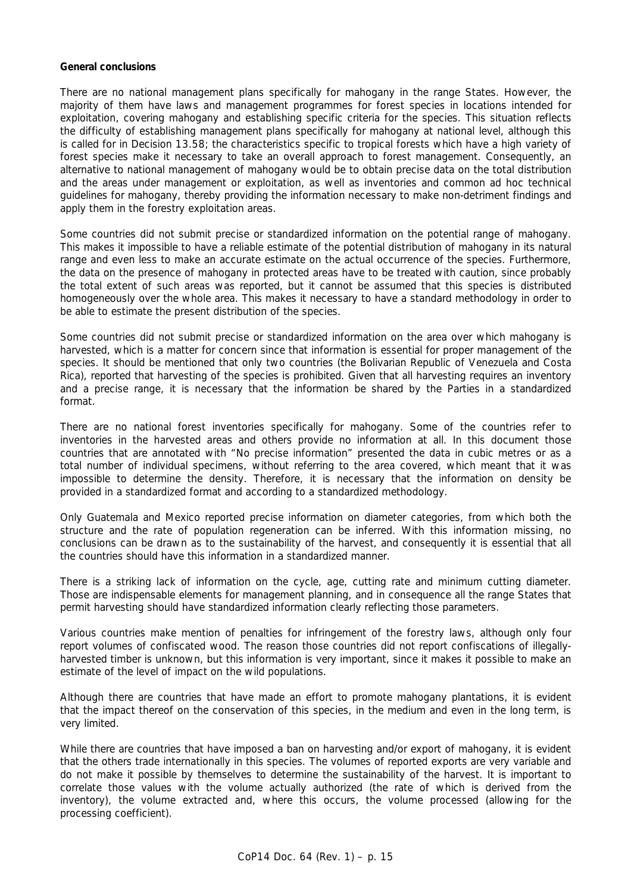### **General conclusions**

There are no national management plans specifically for mahogany in the range States. However, the majority of them have laws and management programmes for forest species in locations intended for exploitation, covering mahogany and establishing specific criteria for the species. This situation reflects the difficulty of establishing management plans specifically for mahogany at national level, although this is called for in Decision 13.58; the characteristics specific to tropical forests which have a high variety of forest species make it necessary to take an overall approach to forest management. Consequently, an alternative to national management of mahogany would be to obtain precise data on the total distribution and the areas under management or exploitation, as well as inventories and common *ad hoc* technical guidelines for mahogany, thereby providing the information necessary to make non-detriment findings and apply them in the forestry exploitation areas.

Some countries did not submit precise or standardized information on the potential range of mahogany. This makes it impossible to have a reliable estimate of the potential distribution of mahogany in its natural range and even less to make an accurate estimate on the actual occurrence of the species. Furthermore, the data on the presence of mahogany in protected areas have to be treated with caution, since probably the total extent of such areas was reported, but it cannot be assumed that this species is distributed homogeneously over the whole area. This makes it necessary to have a standard methodology in order to be able to estimate the present distribution of the species.

Some countries did not submit precise or standardized information on the area over which mahogany is harvested, which is a matter for concern since that information is essential for proper management of the species. It should be mentioned that only two countries (the Bolivarian Republic of Venezuela and Costa Rica), reported that harvesting of the species is prohibited. Given that all harvesting requires an inventory and a precise range, it is necessary that the information be shared by the Parties in a standardized format.

There are no national forest inventories specifically for mahogany. Some of the countries refer to inventories in the harvested areas and others provide no information at all. In this document those countries that are annotated with "No precise information" presented the data in cubic metres or as a total number of individual specimens, without referring to the area covered, which meant that it was impossible to determine the density. Therefore, it is necessary that the information on density be provided in a standardized format and according to a standardized methodology.

Only Guatemala and Mexico reported precise information on diameter categories, from which both the structure and the rate of population regeneration can be inferred. With this information missing, no conclusions can be drawn as to the sustainability of the harvest, and consequently it is essential that all the countries should have this information in a standardized manner.

There is a striking lack of information on the cycle, age, cutting rate and minimum cutting diameter. Those are indispensable elements for management planning, and in consequence all the range States that permit harvesting should have standardized information clearly reflecting those parameters.

Various countries make mention of penalties for infringement of the forestry laws, although only four report volumes of confiscated wood. The reason those countries did not report confiscations of illegallyharvested timber is unknown, but this information is very important, since it makes it possible to make an estimate of the level of impact on the wild populations.

Although there are countries that have made an effort to promote mahogany plantations, it is evident that the impact thereof on the conservation of this species, in the medium and even in the long term, is very limited.

While there are countries that have imposed a ban on harvesting and/or export of mahogany, it is evident that the others trade internationally in this species. The volumes of reported exports are very variable and do not make it possible by themselves to determine the sustainability of the harvest. It is important to correlate those values with the volume actually authorized (the rate of which is derived from the inventory), the volume extracted and, where this occurs, the volume processed (allowing for the processing coefficient).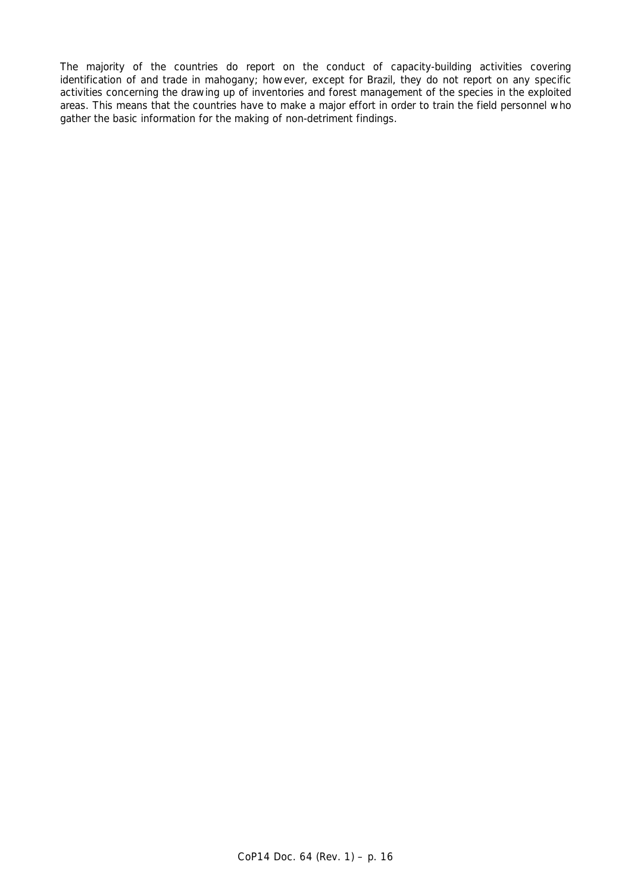The majority of the countries do report on the conduct of capacity-building activities covering identification of and trade in mahogany; however, except for Brazil, they do not report on any specific activities concerning the drawing up of inventories and forest management of the species in the exploited areas. This means that the countries have to make a major effort in order to train the field personnel who gather the basic information for the making of non-detriment findings.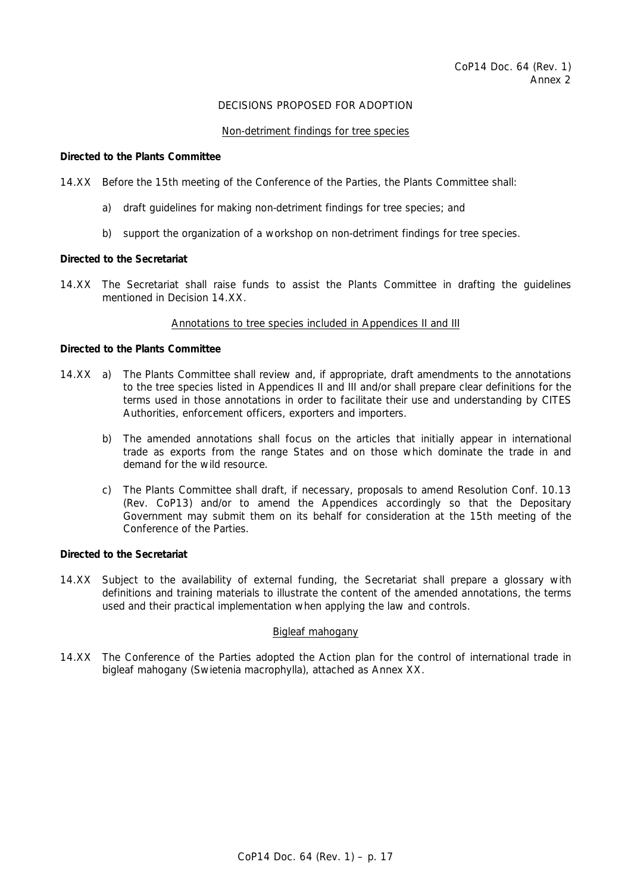# DECISIONS PROPOSED FOR ADOPTION

### Non-detriment findings for tree species

#### *Directed to the Plants Committee*

14.XX Before the 15th meeting of the Conference of the Parties, the Plants Committee shall:

- a) draft guidelines for making non-detriment findings for tree species; and
- b) support the organization of a workshop on non-detriment findings for tree species.

### *Directed to the Secretariat*

14.XX The Secretariat shall raise funds to assist the Plants Committee in drafting the guidelines mentioned in Decision 14.XX.

### Annotations to tree species included in Appendices II and III

### *Directed to the Plants Committee*

- 14.XX a) The Plants Committee shall review and, if appropriate, draft amendments to the annotations to the tree species listed in Appendices II and III and/or shall prepare clear definitions for the terms used in those annotations in order to facilitate their use and understanding by CITES Authorities, enforcement officers, exporters and importers.
	- b) The amended annotations shall focus on the articles that initially appear in international trade as exports from the range States and on those which dominate the trade in and demand for the wild resource.
	- c) The Plants Committee shall draft, if necessary, proposals to amend Resolution Conf. 10.13 (Rev. CoP13) and/or to amend the Appendices accordingly so that the Depositary Government may submit them on its behalf for consideration at the 15th meeting of the Conference of the Parties.

### *Directed to the Secretariat*

14.XX Subject to the availability of external funding, the Secretariat shall prepare a glossary with definitions and training materials to illustrate the content of the amended annotations, the terms used and their practical implementation when applying the law and controls.

## Bigleaf mahogany

14.XX The Conference of the Parties adopted the *Action plan for the control of international trade in bigleaf mahogany* (Swietenia macrophylla), attached as Annex XX.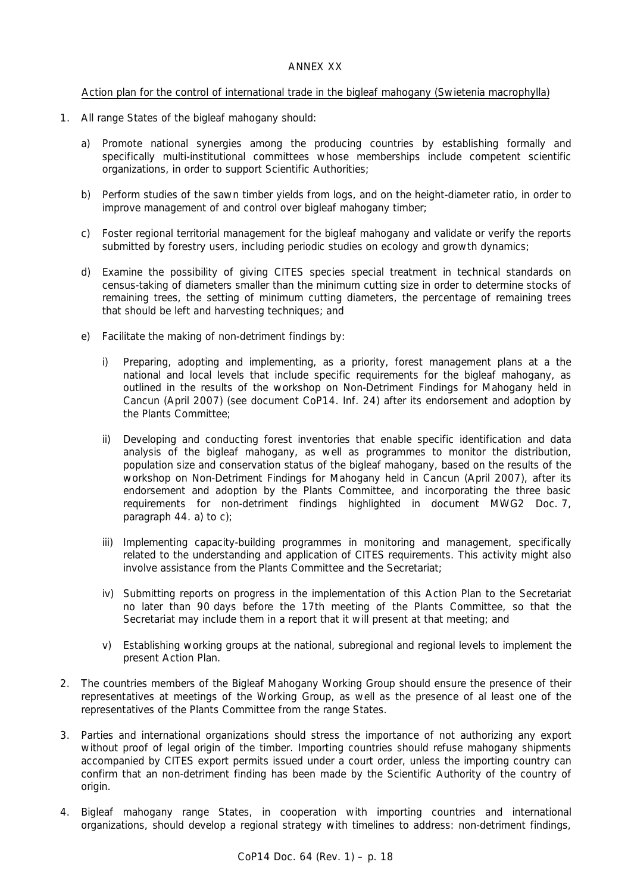# Action plan for the control of international trade in the bigleaf mahogany (Swietenia macrophylla)

- 1. All range States of the bigleaf mahogany should:
	- a) Promote national synergies among the producing countries by establishing formally and specifically multi-institutional committees whose memberships include competent scientific organizations, in order to support Scientific Authorities;
	- b) Perform studies of the sawn timber yields from logs, and on the height-diameter ratio, in order to improve management of and control over bigleaf mahogany timber;
	- c) Foster regional territorial management for the bigleaf mahogany and validate or verify the reports submitted by forestry users, including periodic studies on ecology and growth dynamics;
	- d) Examine the possibility of giving CITES species special treatment in technical standards on census-taking of diameters smaller than the minimum cutting size in order to determine stocks of remaining trees, the setting of minimum cutting diameters, the percentage of remaining trees that should be left and harvesting techniques; and
	- e) Facilitate the making of non-detriment findings by:
		- i) Preparing, adopting and implementing, as a priority, forest management plans at a the national and local levels that include specific requirements for the bigleaf mahogany, as outlined in the results of the workshop on Non-Detriment Findings for Mahogany held in Cancun (April 2007) (see document CoP14. Inf. 24) after its endorsement and adoption by the Plants Committee;
		- ii) Developing and conducting forest inventories that enable specific identification and data analysis of the bigleaf mahogany, as well as programmes to monitor the distribution, population size and conservation status of the bigleaf mahogany, based on the results of the workshop on Non-Detriment Findings for Mahogany held in Cancun (April 2007), after its endorsement and adoption by the Plants Committee, and incorporating the three basic requirements for non-detriment findings highlighted in document MWG2 Doc. 7, paragraph 44. a) to c);
		- iii) Implementing capacity-building programmes in monitoring and management, specifically related to the understanding and application of CITES requirements. This activity might also involve assistance from the Plants Committee and the Secretariat;
		- iv) Submitting reports on progress in the implementation of this Action Plan to the Secretariat no later than 90 days before the 17th meeting of the Plants Committee, so that the Secretariat may include them in a report that it will present at that meeting; and
		- v) Establishing working groups at the national, subregional and regional levels to implement the present Action Plan.
- 2. The countries members of the Bigleaf Mahogany Working Group should ensure the presence of their representatives at meetings of the Working Group, as well as the presence of al least one of the representatives of the Plants Committee from the range States.
- 3. Parties and international organizations should stress the importance of not authorizing any export without proof of legal origin of the timber. Importing countries should refuse mahogany shipments accompanied by CITES export permits issued under a court order, unless the importing country can confirm that an non-detriment finding has been made by the Scientific Authority of the country of origin.
- 4. Bigleaf mahogany range States, in cooperation with importing countries and international organizations, should develop a regional strategy with timelines to address: non-detriment findings,